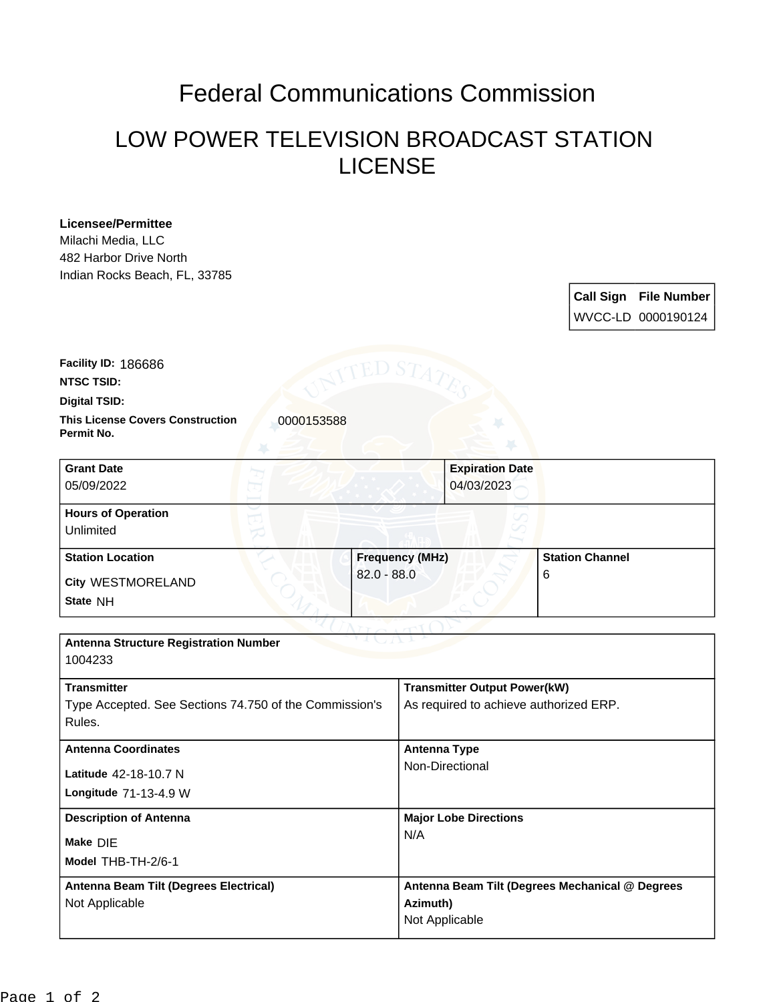## Federal Communications Commission

## LOW POWER TELEVISION BROADCAST STATION LICENSE

## **Licensee/Permittee**

Milachi Media, LLC 482 Harbor Drive North Indian Rocks Beach, FL, 33785

> **Call Sign File Number** WVCC-LD 0000190124

**Digital TSID: NTSC TSID: Facility ID:** 186686

**Permit No.**

**This License Covers Construction**  0000153588

| <b>Grant Date</b><br>05/09/2022        | <b>Expiration Date</b><br>04/03/2023 |                        |
|----------------------------------------|--------------------------------------|------------------------|
| <b>Hours of Operation</b><br>Unlimited |                                      |                        |
| <b>Station Location</b>                | <b>Frequency (MHz)</b>               | <b>Station Channel</b> |
| <b>City WESTMORELAND</b><br>State NH   | $82.0 - 88.0$                        | 6                      |

| <b>Antenna Structure Registration Number</b><br>1004233                                |                                                                               |  |
|----------------------------------------------------------------------------------------|-------------------------------------------------------------------------------|--|
| <b>Transmitter</b><br>Type Accepted. See Sections 74.750 of the Commission's<br>Rules. | <b>Transmitter Output Power(kW)</b><br>As required to achieve authorized ERP. |  |
| <b>Antenna Coordinates</b><br>Latitude 42-18-10.7 N<br><b>Longitude 71-13-4.9 W</b>    | <b>Antenna Type</b><br>Non-Directional                                        |  |
| <b>Description of Antenna</b><br>Make DIE<br>Model THB-TH-2/6-1                        | <b>Major Lobe Directions</b><br>N/A                                           |  |
| Antenna Beam Tilt (Degrees Electrical)<br>Not Applicable                               | Antenna Beam Tilt (Degrees Mechanical @ Degrees<br>Azimuth)<br>Not Applicable |  |